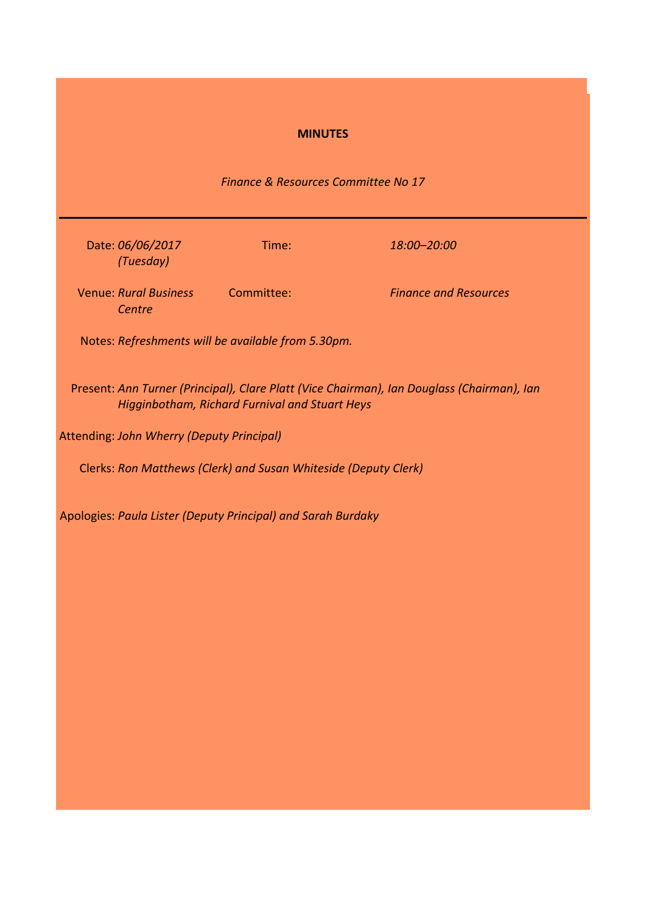# **MINUTES**

# *Finance & Resources Committee No 17*

| Time:      | 18:00–20:00                                                                                                                                                                                                                                                                     |
|------------|---------------------------------------------------------------------------------------------------------------------------------------------------------------------------------------------------------------------------------------------------------------------------------|
| Committee: | <b>Finance and Resources</b>                                                                                                                                                                                                                                                    |
|            |                                                                                                                                                                                                                                                                                 |
|            | Present: Ann Turner (Principal), Clare Platt (Vice Chairman), Ian Douglass (Chairman), Ian                                                                                                                                                                                      |
|            |                                                                                                                                                                                                                                                                                 |
|            |                                                                                                                                                                                                                                                                                 |
|            | Date: 06/06/2017<br><b>Venue: Rural Business</b><br>Notes: Refreshments will be available from 5.30pm.<br>Higginbotham, Richard Furnival and Stuart Heys<br><b>Attending: John Wherry (Deputy Principal)</b><br>Clerks: Ron Matthews (Clerk) and Susan Whiteside (Deputy Clerk) |

Apologies: *Paula Lister (Deputy Principal) and Sarah Burdaky*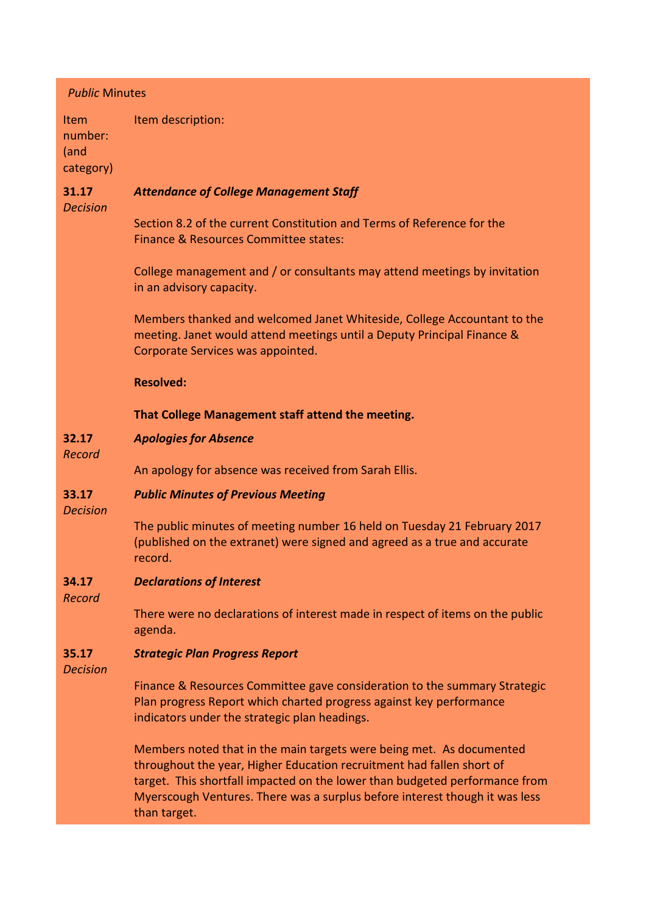| <b>Public Minutes</b>                       |                                                                                                                                                                                                                                                                                                                             |
|---------------------------------------------|-----------------------------------------------------------------------------------------------------------------------------------------------------------------------------------------------------------------------------------------------------------------------------------------------------------------------------|
| <b>Item</b><br>number:<br>(and<br>category) | Item description:                                                                                                                                                                                                                                                                                                           |
| 31.17<br><b>Decision</b>                    | <b>Attendance of College Management Staff</b>                                                                                                                                                                                                                                                                               |
|                                             | Section 8.2 of the current Constitution and Terms of Reference for the<br>Finance & Resources Committee states:                                                                                                                                                                                                             |
|                                             | College management and / or consultants may attend meetings by invitation<br>in an advisory capacity.                                                                                                                                                                                                                       |
|                                             | Members thanked and welcomed Janet Whiteside, College Accountant to the<br>meeting. Janet would attend meetings until a Deputy Principal Finance &<br>Corporate Services was appointed.                                                                                                                                     |
|                                             | <b>Resolved:</b>                                                                                                                                                                                                                                                                                                            |
|                                             | That College Management staff attend the meeting.                                                                                                                                                                                                                                                                           |
| 32.17<br>Record                             | <b>Apologies for Absence</b>                                                                                                                                                                                                                                                                                                |
|                                             | An apology for absence was received from Sarah Ellis.                                                                                                                                                                                                                                                                       |
| 33.17<br><b>Decision</b>                    | <b>Public Minutes of Previous Meeting</b>                                                                                                                                                                                                                                                                                   |
|                                             | The public minutes of meeting number 16 held on Tuesday 21 February 2017<br>(published on the extranet) were signed and agreed as a true and accurate<br>record.                                                                                                                                                            |
| 34.17<br>Record                             | <b>Declarations of Interest</b>                                                                                                                                                                                                                                                                                             |
|                                             | There were no declarations of interest made in respect of items on the public<br>agenda.                                                                                                                                                                                                                                    |
| 35.17<br><b>Decision</b>                    | <b>Strategic Plan Progress Report</b>                                                                                                                                                                                                                                                                                       |
|                                             | Finance & Resources Committee gave consideration to the summary Strategic<br>Plan progress Report which charted progress against key performance<br>indicators under the strategic plan headings.                                                                                                                           |
|                                             | Members noted that in the main targets were being met. As documented<br>throughout the year, Higher Education recruitment had fallen short of<br>target. This shortfall impacted on the lower than budgeted performance from<br>Myerscough Ventures. There was a surplus before interest though it was less<br>than target. |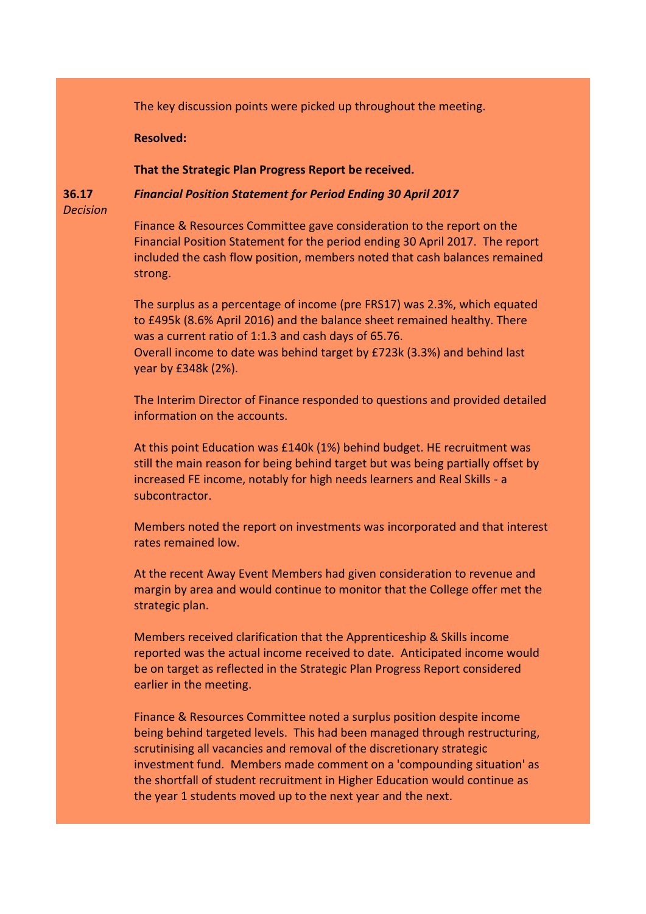The key discussion points were picked up throughout the meeting.

**Resolved:**

**That the Strategic Plan Progress Report be received.**

*Financial Position Statement for Period Ending 30 April 2017*

**36.17** *Decision*

> Finance & Resources Committee gave consideration to the report on the Financial Position Statement for the period ending 30 April 2017. The report included the cash flow position, members noted that cash balances remained strong.

The surplus as a percentage of income (pre FRS17) was 2.3%, which equated to £495k (8.6% April 2016) and the balance sheet remained healthy. There was a current ratio of 1:1.3 and cash days of 65.76. Overall income to date was behind target by £723k (3.3%) and behind last year by £348k (2%).

The Interim Director of Finance responded to questions and provided detailed information on the accounts.

At this point Education was £140k (1%) behind budget. HE recruitment was still the main reason for being behind target but was being partially offset by increased FE income, notably for high needs learners and Real Skills - a subcontractor.

Members noted the report on investments was incorporated and that interest rates remained low.

At the recent Away Event Members had given consideration to revenue and margin by area and would continue to monitor that the College offer met the strategic plan.

Members received clarification that the Apprenticeship & Skills income reported was the actual income received to date. Anticipated income would be on target as reflected in the Strategic Plan Progress Report considered earlier in the meeting.

Finance & Resources Committee noted a surplus position despite income being behind targeted levels. This had been managed through restructuring, scrutinising all vacancies and removal of the discretionary strategic investment fund. Members made comment on a 'compounding situation' as the shortfall of student recruitment in Higher Education would continue as the year 1 students moved up to the next year and the next.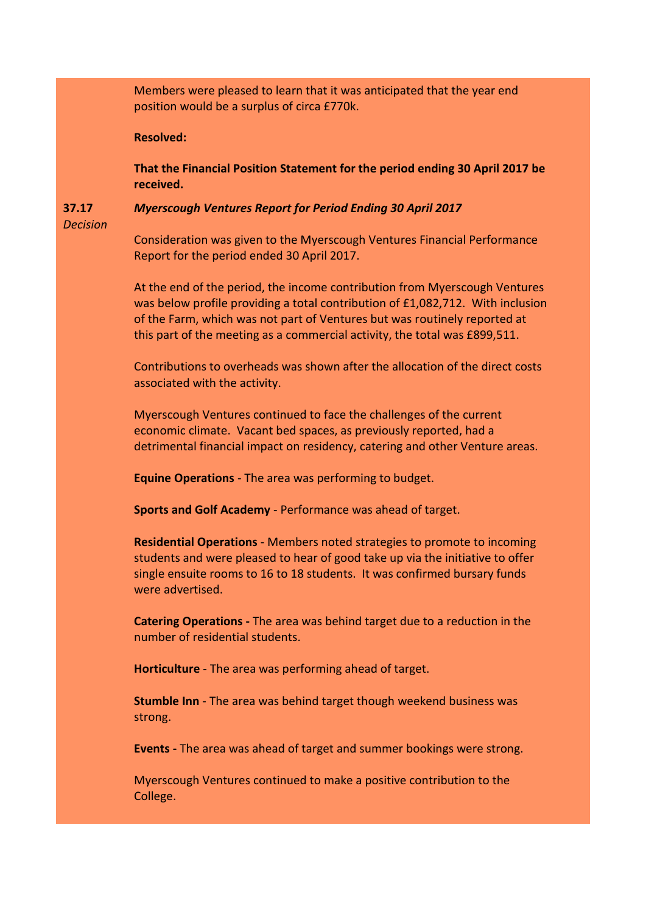Members were pleased to learn that it was anticipated that the year end position would be a surplus of circa £770k. **Resolved: That the Financial Position Statement for the period ending 30 April 2017 be received. 37.17** *Decision Myerscough Ventures Report for Period Ending 30 April 2017* Consideration was given to the Myerscough Ventures Financial Performance Report for the period ended 30 April 2017. At the end of the period, the income contribution from Myerscough Ventures was below profile providing a total contribution of £1,082,712. With inclusion of the Farm, which was not part of Ventures but was routinely reported at this part of the meeting as a commercial activity, the total was £899,511. Contributions to overheads was shown after the allocation of the direct costs associated with the activity. Myerscough Ventures continued to face the challenges of the current economic climate. Vacant bed spaces, as previously reported, had a detrimental financial impact on residency, catering and other Venture areas. **Equine Operations** - The area was performing to budget. **Sports and Golf Academy** - Performance was ahead of target. **Residential Operations** - Members noted strategies to promote to incoming students and were pleased to hear of good take up via the initiative to offer single ensuite rooms to 16 to 18 students. It was confirmed bursary funds were advertised. **Catering Operations -** The area was behind target due to a reduction in the number of residential students. **Horticulture** - The area was performing ahead of target. **Stumble Inn** - The area was behind target though weekend business was strong. **Events -** The area was ahead of target and summer bookings were strong. Myerscough Ventures continued to make a positive contribution to the College.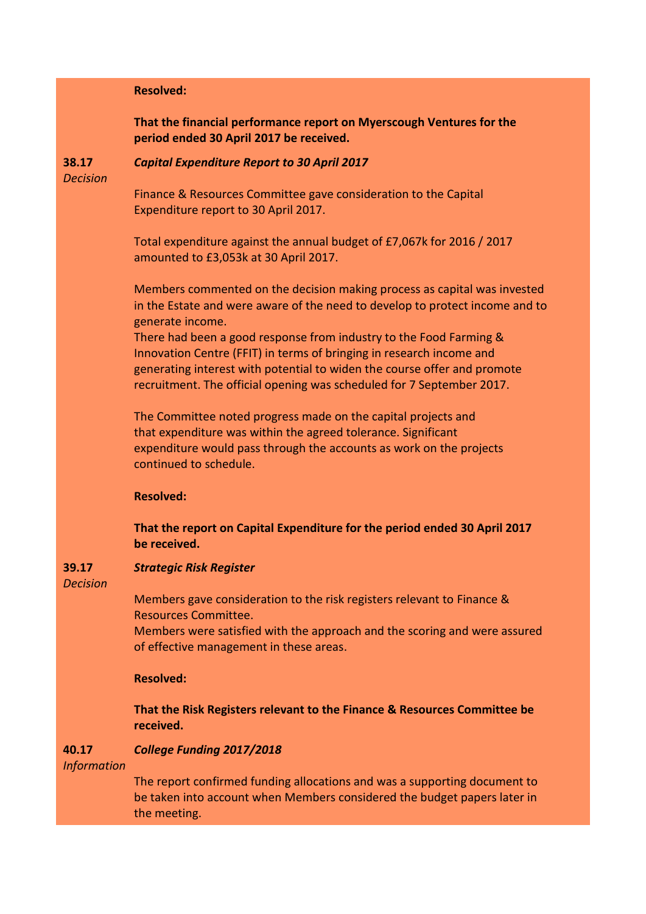# **Resolved:**

**That the financial performance report on Myerscough Ventures for the period ended 30 April 2017 be received.**

**38.17**

# *Capital Expenditure Report to 30 April 2017*

*Decision*

Finance & Resources Committee gave consideration to the Capital Expenditure report to 30 April 2017.

Total expenditure against the annual budget of £7,067k for 2016 / 2017 amounted to £3,053k at 30 April 2017.

Members commented on the decision making process as capital was invested in the Estate and were aware of the need to develop to protect income and to generate income.

There had been a good response from industry to the Food Farming & Innovation Centre (FFIT) in terms of bringing in research income and generating interest with potential to widen the course offer and promote recruitment. The official opening was scheduled for 7 September 2017.

The Committee noted progress made on the capital projects and that expenditure was within the agreed tolerance. Significant expenditure would pass through the accounts as work on the projects continued to schedule.

**Resolved:**

**That the report on Capital Expenditure for the period ended 30 April 2017 be received.**

#### **39.17** *Strategic Risk Register*

*Decision*

Members gave consideration to the risk registers relevant to Finance & Resources Committee.

Members were satisfied with the approach and the scoring and were assured of effective management in these areas.

### **Resolved:**

**That the Risk Registers relevant to the Finance & Resources Committee be received.**

#### **40.17** *College Funding 2017/2018*

*Information*

The report confirmed funding allocations and was a supporting document to be taken into account when Members considered the budget papers later in the meeting.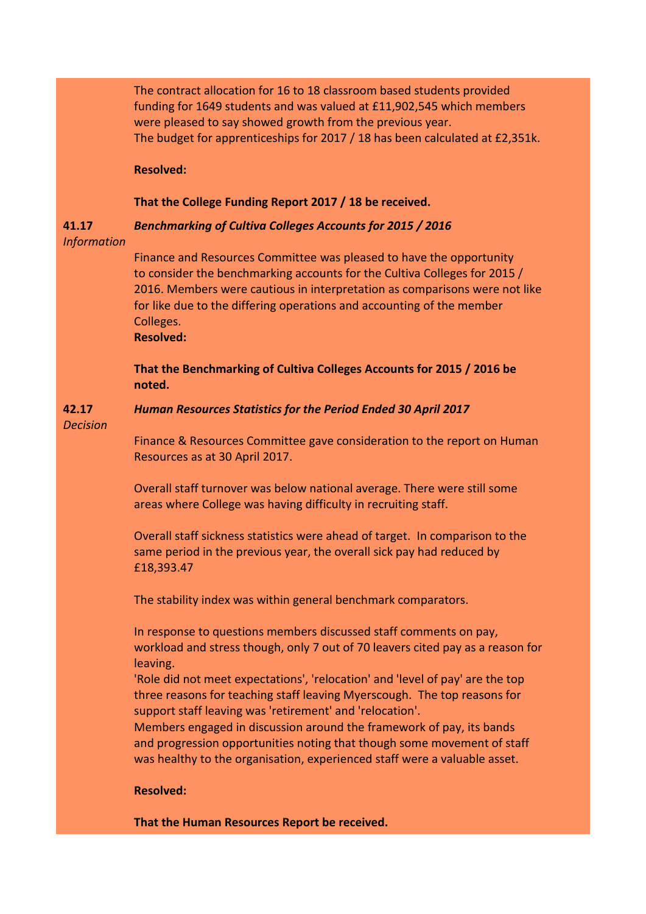The contract allocation for 16 to 18 classroom based students provided funding for 1649 students and was valued at £11,902,545 which members were pleased to say showed growth from the previous year. The budget for apprenticeships for 2017 / 18 has been calculated at £2,351k.

**Resolved:**

# **That the College Funding Report 2017 / 18 be received.**

### **41.17** *Benchmarking of Cultiva Colleges Accounts for 2015 / 2016*

### *Information*

Finance and Resources Committee was pleased to have the opportunity to consider the benchmarking accounts for the Cultiva Colleges for 2015 / 2016. Members were cautious in interpretation as comparisons were not like for like due to the differing operations and accounting of the member Colleges.

**Resolved:**

**That the Benchmarking of Cultiva Colleges Accounts for 2015 / 2016 be noted.**

### **42.17** *Human Resources Statistics for the Period Ended 30 April 2017*

*Decision*

Finance & Resources Committee gave consideration to the report on Human Resources as at 30 April 2017.

Overall staff turnover was below national average. There were still some areas where College was having difficulty in recruiting staff.

Overall staff sickness statistics were ahead of target. In comparison to the same period in the previous year, the overall sick pay had reduced by £18,393.47

The stability index was within general benchmark comparators.

In response to questions members discussed staff comments on pay, workload and stress though, only 7 out of 70 leavers cited pay as a reason for leaving.

'Role did not meet expectations', 'relocation' and 'level of pay' are the top three reasons for teaching staff leaving Myerscough. The top reasons for support staff leaving was 'retirement' and 'relocation'.

Members engaged in discussion around the framework of pay, its bands and progression opportunities noting that though some movement of staff was healthy to the organisation, experienced staff were a valuable asset.

# **Resolved:**

**That the Human Resources Report be received.**